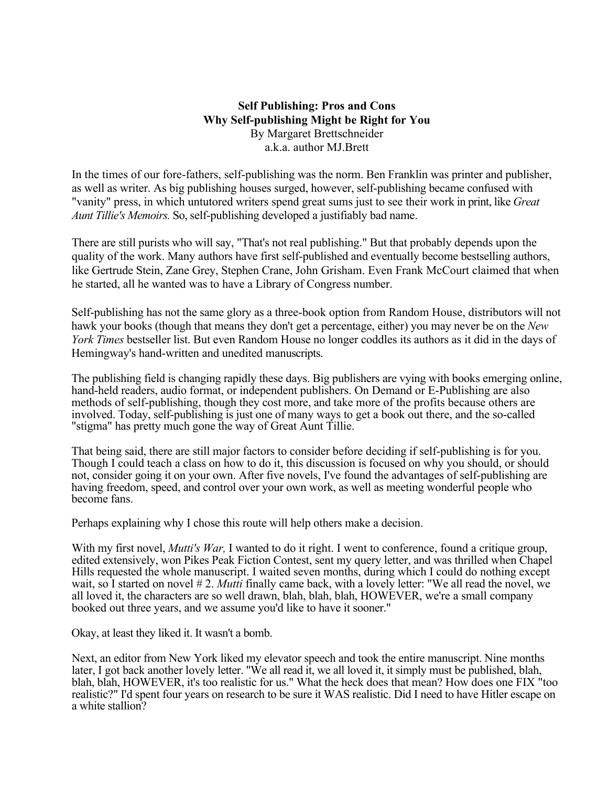#### **Self Publishing: Pros and Cons Why Self-publishing Might be Right for You** By Margaret Brettschneider a.k.a. author MJ.Brett

In the times of our fore-fathers, self-publishing was the norm. Ben Franklin was printer and publisher, as well as writer. As big publishing houses surged, however, self-publishing became confused with "vanity" press, in which untutored writers spend great sums just to see their work in print, like *Great Aunt Tillie's Memoirs.* So, self-publishing developed a justifiably bad name.

There are still purists who will say, "That's not real publishing." But that probably depends upon the quality of the work. Many authors have first self-published and eventually become bestselling authors, like Gertrude Stein, Zane Grey, Stephen Crane, John Grisham. Even Frank McCourt claimed that when he started, all he wanted was to have a Library of Congress number.

Self-publishing has not the same glory as a three-book option from Random House, distributors will not hawk your books (though that means they don't get a percentage, either) you may never be on the *New York Times* bestseller list. But even Random House no longer coddles its authors as it did in the days of Hemingway's hand-written and unedited manuscripts.

The publishing field is changing rapidly these days. Big publishers are vying with books emerging online, hand-held readers, audio format, or independent publishers. On Demand or E-Publishing are also methods of self-publishing, though they cost more, and take more of the profits because others are involved. Today, self-publishing is just one of many ways to get a book out there, and the so-called "stigma" has pretty much gone the way of Great Aunt Tillie.

That being said, there are still major factors to consider before deciding if self-publishing is for you. Though I could teach a class on how to do it, this discussion is focused on why you should, or should not, consider going it on your own. After five novels, I've found the advantages of self-publishing are having freedom, speed, and control over your own work, as well as meeting wonderful people who become fans.

Perhaps explaining why I chose this route will help others make a decision.

With my first novel, *Mutti's War*, I wanted to do it right. I went to conference, found a critique group, edited extensively, won Pikes Peak Fiction Contest, sent my query letter, and was thrilled when Chapel Hills requested the whole manuscript. I waited seven months, during which I could do nothing except wait, so I started on novel # 2. *Mutti* finally came back, with a lovely letter: "We all read the novel, we all loved it, the characters are so well drawn, blah, blah, blah, HOWEVER, we're a small company booked out three years, and we assume you'd like to have it sooner."

Okay, at least they liked it. It wasn't a bomb.

Next, an editor from New York liked my elevator speech and took the entire manuscript. Nine months later, I got back another lovely letter. "We all read it, we all loved it, it simply must be published, blah, blah, blah, HOWEVER, it's too realistic for us." What the heck does that mean? How does one FIX "too realistic?" I'd spent four years on research to be sure it WAS realistic. Did I need to have Hitler escape on a white stallion?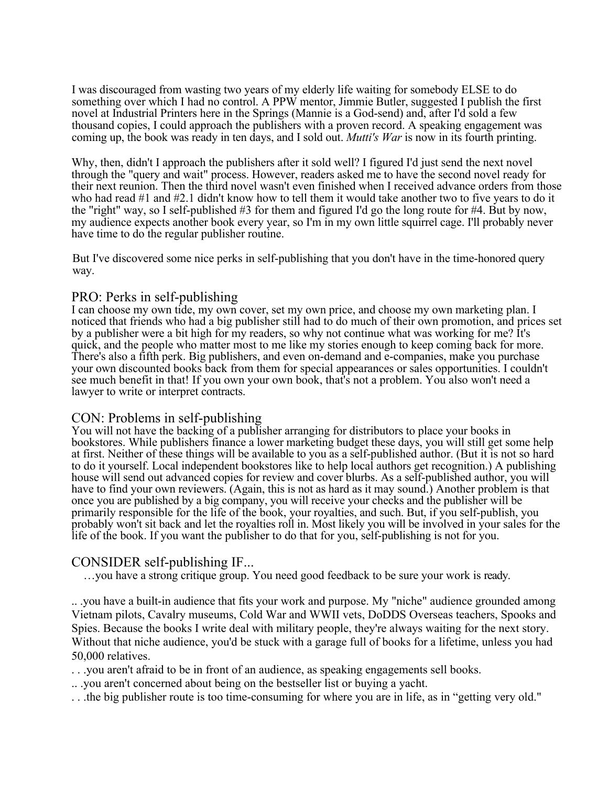I was discouraged from wasting two years of my elderly life waiting for somebody ELSE to do something over which I had no control. A PPW mentor, Jimmie Butler, suggested I publish the first novel at Industrial Printers here in the Springs (Mannie is a God-send) and, after I'd sold a few thousand copies, I could approach the publishers with a proven record. A speaking engagement was coming up, the book was ready in ten days, and I sold out. *Mutti's War* is now in its fourth printing.

Why, then, didn't I approach the publishers after it sold well? I figured I'd just send the next novel through the "query and wait" process. However, readers asked me to have the second novel ready for their next reunion. Then the third novel wasn't even finished when I received advance orders from those who had read #1 and #2.1 didn't know how to tell them it would take another two to five years to do it the "right" way, so I self-published #3 for them and figured I'd go the long route for #4. But by now, my audience expects another book every year, so I'm in my own little squirrel cage. I'll probably never have time to do the regular publisher routine.

But I've discovered some nice perks in self-publishing that you don't have in the time-honored query way.

### PRO: Perks in self-publishing

I can choose my own tide, my own cover, set my own price, and choose my own marketing plan. I noticed that friends who had a big publisher still had to do much of their own promotion, and prices set by a publisher were a bit high for my readers, so why not continue what was working for me? It's quick, and the people who matter most to me like my stories enough to keep coming back for more. There's also a fifth perk. Big publishers, and even on-demand and e-companies, make you purchase your own discounted books back from them for special appearances or sales opportunities. I couldn't see much benefit in that! If you own your own book, that's not a problem. You also won't need a lawyer to write or interpret contracts.

#### CON: Problems in self-publishing

You will not have the backing of a publisher arranging for distributors to place your books in bookstores. While publishers finance a lower marketing budget these days, you will still get some help at first. Neither of these things will be available to you as a self-published author. (But it is not so hard to do it yourself. Local independent bookstores like to help local authors get recognition.) A publishing house will send out advanced copies for review and cover blurbs. As a self-published author, you will have to find your own reviewers. (Again, this is not as hard as it may sound.) Another problem is that once you are published by a big company, you will receive your checks and the publisher will be primarily responsible for the life of the book, your royalties, and such. But, if you self-publish, you probably won't sit back and let the royalties roll in. Most likely you will be involved in your sales for the life of the book. If you want the publisher to do that for you, self-publishing is not for you.

# CONSIDER self-publishing IF...

…you have a strong critique group. You need good feedback to be sure your work is ready.

.. .you have a built-in audience that fits your work and purpose. My "niche" audience grounded among Vietnam pilots, Cavalry museums, Cold War and WWII vets, DoDDS Overseas teachers, Spooks and Spies. Because the books I write deal with military people, they're always waiting for the next story. Without that niche audience, you'd be stuck with a garage full of books for a lifetime, unless you had 50,000 relatives.

. . .you aren't afraid to be in front of an audience, as speaking engagements sell books.

.. .you aren't concerned about being on the bestseller list or buying a yacht.

. . .the big publisher route is too time-consuming for where you are in life, as in "getting very old."